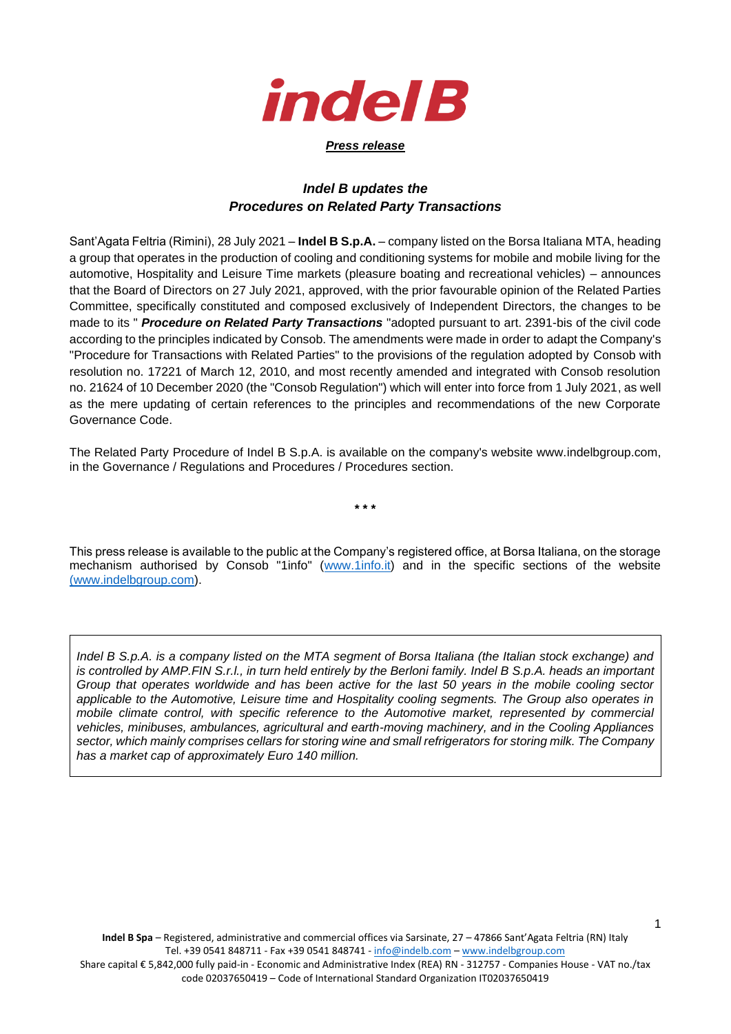

## *Press release*

## *Indel B updates the Procedures on Related Party Transactions*

Sant'Agata Feltria (Rimini), 28 July 2021 – **Indel B S.p.A.** – company listed on the Borsa Italiana MTA, heading a group that operates in the production of cooling and conditioning systems for mobile and mobile living for the automotive, Hospitality and Leisure Time markets (pleasure boating and recreational vehicles) – announces that the Board of Directors on 27 July 2021, approved, with the prior favourable opinion of the Related Parties Committee, specifically constituted and composed exclusively of Independent Directors, the changes to be made to its " *Procedure on Related Party Transactions* "adopted pursuant to art. 2391-bis of the civil code according to the principles indicated by Consob. The amendments were made in order to adapt the Company's "Procedure for Transactions with Related Parties" to the provisions of the regulation adopted by Consob with resolution no. 17221 of March 12, 2010, and most recently amended and integrated with Consob resolution no. 21624 of 10 December 2020 (the "Consob Regulation") which will enter into force from 1 July 2021, as well as the mere updating of certain references to the principles and recommendations of the new Corporate Governance Code.

The Related Party Procedure of Indel B S.p.A. is available on the company's website www.indelbgroup.com, in the Governance / Regulations and Procedures / Procedures section.

**\* \* \***

This press release is available to the public at the Company's registered office, at Borsa Italiana, on the storage mechanism authorised by Consob "1info" [\(www.1info.it\)](http://www.1info.it/) and in the specific sections of the website [\(www.indelbgroup.com\)](http://www.indelbgroup.com/).

*Indel B S.p.A. is a company listed on the MTA segment of Borsa Italiana (the Italian stock exchange) and is controlled by AMP.FIN S.r.l., in turn held entirely by the Berloni family. Indel B S.p.A. heads an important Group that operates worldwide and has been active for the last 50 years in the mobile cooling sector applicable to the Automotive, Leisure time and Hospitality cooling segments. The Group also operates in mobile climate control, with specific reference to the Automotive market, represented by commercial vehicles, minibuses, ambulances, agricultural and earth-moving machinery, and in the Cooling Appliances sector, which mainly comprises cellars for storing wine and small refrigerators for storing milk. The Company has a market cap of approximately Euro 140 million.*